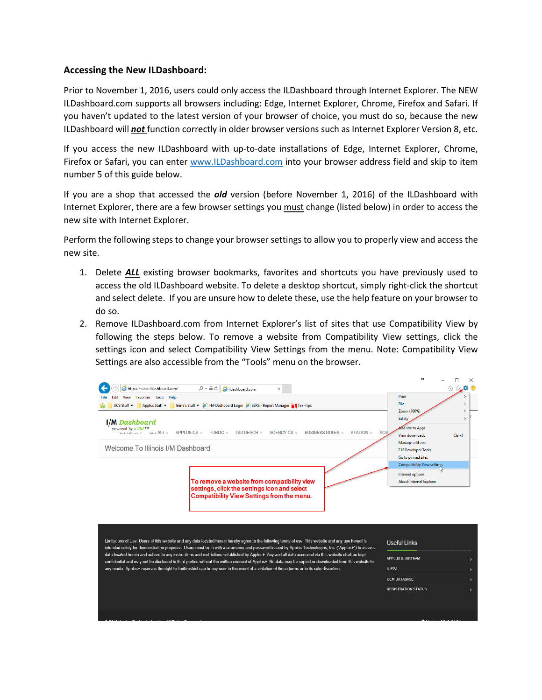## **Accessing the New ILDashboard:**

Prior to November 1, 2016, users could only access the ILDashboard through Internet Explorer. The NEW ILDashboard.com supports all browsers including: Edge, Internet Explorer, Chrome, Firefox and Safari. If you haven't updated to the latest version of your browser of choice, you must do so, because the new ILDashboard will *not* function correctly in older browser versions such as Internet Explorer Version 8, etc.

If you access the new ILDashboard with up-to-date installations of Edge, Internet Explorer, Chrome, Firefox or Safari, you can enter [www.ILDashboard.com](http://www.ildashboard.com/) into your browser address field and skip to item number 5 of this guide below.

If you are a shop that accessed the *old* version (before November 1, 2016) of the ILDashboard with Internet Explorer, there are a few browser settings you must change (listed below) in order to access the new site with Internet Explorer.

Perform the following steps to change your browser settings to allow you to properly view and access the new site.

- 1. Delete *ALL* existing browser bookmarks, favorites and shortcuts you have previously used to access the old ILDashboard website. To delete a desktop shortcut, simply right-click the shortcut and select delete. If you are unsure how to delete these, use the help feature on your browser to do so.
- 2. Remove ILDashboard.com from Internet Explorer's list of sites that use Compatibility View by following the steps below. To remove a website from Compatibility View settings, click the settings icon and select Compatibility View Settings from the menu. Note: Compatibility View Settings are also accessible from the "Tools" menu on the browser.

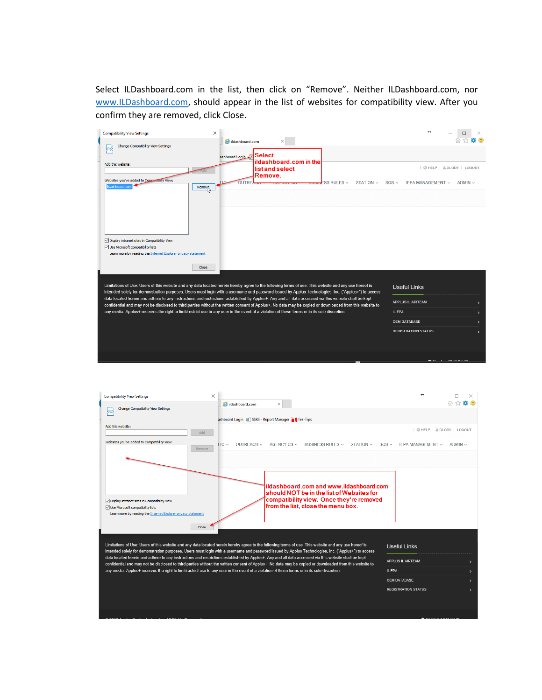Select ILDashboard.com in the list, then click on "Remove". Neither ILDashboard.com, nor [www.ILDashboard.com,](http://www.ildashboard.com/) should appear in the list of websites for compatibility view. After you confirm they are removed, click Close.

| $\times$<br><b>Compatibility View Settings</b>                                                                                                                                                                                                                                                                  |                                                         |                                      | $\leftrightarrow$          | $\Box$<br>×                |
|-----------------------------------------------------------------------------------------------------------------------------------------------------------------------------------------------------------------------------------------------------------------------------------------------------------------|---------------------------------------------------------|--------------------------------------|----------------------------|----------------------------|
| <b>Change Compatibility View Settings</b><br>⋈                                                                                                                                                                                                                                                                  | ildashboard.com<br>$\times$<br>Select<br>ashboard Login |                                      |                            |                            |
| Add this website:                                                                                                                                                                                                                                                                                               | ildashboard.com in the<br>list and select<br>Remove.    |                                      |                            | @ HELP   & GLODY   LOGOUT  |
| Websites you've added to Compatibility View:<br>ildashboard.com<br>Remove                                                                                                                                                                                                                                       | <b>OUTREL</b>                                           | <b>ESS RULES</b> $\vee$<br>STATION v | SOS ~<br>IEPA MANAGEMENT v | ADMIN ~                    |
| ○ Display intranet sites in Compatibility View<br>Use Microsoft compatibility lists<br>Learn more by reading the Internet Explorer privacy statement                                                                                                                                                            |                                                         |                                      |                            |                            |
| Close                                                                                                                                                                                                                                                                                                           |                                                         |                                      |                            |                            |
| Limitations of Use: Users of this website and any data located herein hereby agree to the following terms of use. This website and any use hereof is<br>intended solely for demonstration purposes. Users must login with a username and password issued by Applus Technologies, Inc. ("Applus+") to access     |                                                         |                                      | <b>Useful Links</b>        |                            |
| data located herein and adhere to any instructions and restrictions established by Applus+. Any and all data accessed via this website shall be kept<br>confidential and may not be disclosed to third parties without the written consent of Applus+. No data may be copied or downloaded from this website to |                                                         |                                      | APPLUS IL AIRTEAM          |                            |
| any media. Applus+ reserves the right to limit/restrict use to any user in the event of a violation of these terms or in its sole discretion.                                                                                                                                                                   |                                                         |                                      | IL EPA                     |                            |
|                                                                                                                                                                                                                                                                                                                 |                                                         |                                      | <b>OEM DATABASE</b>        |                            |
|                                                                                                                                                                                                                                                                                                                 |                                                         |                                      | <b>REGISTRATION STATUS</b> |                            |
| <b>AMERICAN</b>                                                                                                                                                                                                                                                                                                 |                                                         |                                      |                            | <b>401/222122 40940740</b> |
|                                                                                                                                                                                                                                                                                                                 |                                                         |                                      |                            |                            |
| $\times$<br><b>Compatibility View Settings</b>                                                                                                                                                                                                                                                                  |                                                         |                                      | $\leftrightarrow$          | □                          |
| Change Compatibility View Settings<br>燃                                                                                                                                                                                                                                                                         | ildashboard.com<br>×                                    |                                      |                            | 습 ☆                        |
|                                                                                                                                                                                                                                                                                                                 |                                                         |                                      |                            |                            |
|                                                                                                                                                                                                                                                                                                                 | ashboard Login 8 SSRS - Report Manager 1 Tek-Tips       |                                      |                            |                            |

| Add this website:<br>Add                                                                                                                                                                                                                                                                                                                    |                      |                                                                                        |                              | $Q$ HELP $\perp$ & GLODY $\perp$ LOGOUT |
|---------------------------------------------------------------------------------------------------------------------------------------------------------------------------------------------------------------------------------------------------------------------------------------------------------------------------------------------|----------------------|----------------------------------------------------------------------------------------|------------------------------|-----------------------------------------|
| Websites vou've added to Compatibility View:<br>Remove                                                                                                                                                                                                                                                                                      | $\mathsf{HC}$ $\sim$ | OUTREACH ~ AGENCY CS ~<br>BUSINESS RULES ~<br>STATION v                                | $SOS -$<br>IEPA MANAGEMENT v | $ADMIN \vee$                            |
|                                                                                                                                                                                                                                                                                                                                             |                      |                                                                                        |                              |                                         |
|                                                                                                                                                                                                                                                                                                                                             |                      |                                                                                        |                              |                                         |
|                                                                                                                                                                                                                                                                                                                                             |                      | ildashboard.com and www.ildashboard.com.<br>lshould NOT be in the list of Websites for |                              |                                         |
| ○ Display intranet sites in Compatibility View<br>○ Use Microsoft compatibility lists                                                                                                                                                                                                                                                       |                      | compatibility view. Once they're removed<br>from the list, close the menu box.         |                              |                                         |
| Learn more by reading the Internet Explorer privacy statement                                                                                                                                                                                                                                                                               |                      |                                                                                        |                              |                                         |
| Close                                                                                                                                                                                                                                                                                                                                       |                      |                                                                                        |                              |                                         |
| Limitations of Use: Users of this website and any data located herein hereby agree to the following terms of use. This website and any use hereof is                                                                                                                                                                                        |                      |                                                                                        | <b>Useful Links</b>          |                                         |
| intended solely for demonstration purposes. Users must login with a username and password issued by Applus Technologies, Inc. ("Applus+") to access                                                                                                                                                                                         |                      |                                                                                        |                              |                                         |
| data located herein and adhere to any instructions and restrictions established by Applus+. Any and all data accessed via this website shall be kept<br><b>APPLUS IL AIRTEAM</b><br>confidential and may not be disclosed to third parties without the written consent of Applus+. No data may be copied or downloaded from this website to |                      |                                                                                        |                              |                                         |
| any media. Annlust reserves the right to limit/restrict use to any user in the event of a violation of these terms or in its sole discretion                                                                                                                                                                                                |                      |                                                                                        | <b>II FPA</b>                |                                         |

OEM DATABASE **REGISTRATION STATUS**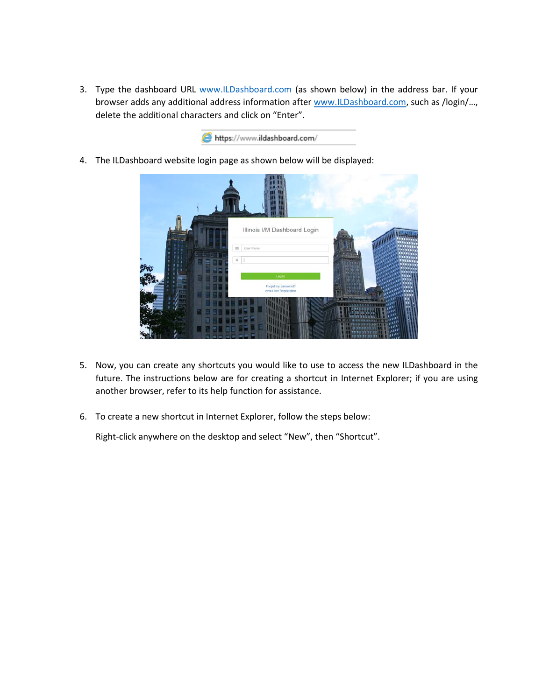3. Type the dashboard URL [www.ILDashboard.com](http://www.ildashboard.com/) (as shown below) in the address bar. If your browser adds any additional address information after [www.ILDashboard.com,](http://www.ildashboard.com/) such as /login/..., delete the additional characters and click on "Enter".



4. The ILDashboard website login page as shown below will be displayed:

|  | Illinois I/M Dashboard Login                 |                             |
|--|----------------------------------------------|-----------------------------|
|  | as User Name<br>$\hat{m}$<br>Log in          |                             |
|  | Forgot my password?<br>New User Registration |                             |
|  |                                              | <b>ALLES</b><br><b>TULL</b> |

- 5. Now, you can create any shortcuts you would like to use to access the new ILDashboard in the future. The instructions below are for creating a shortcut in Internet Explorer; if you are using another browser, refer to its help function for assistance.
- 6. To create a new shortcut in Internet Explorer, follow the steps below:

Right-click anywhere on the desktop and select "New", then "Shortcut".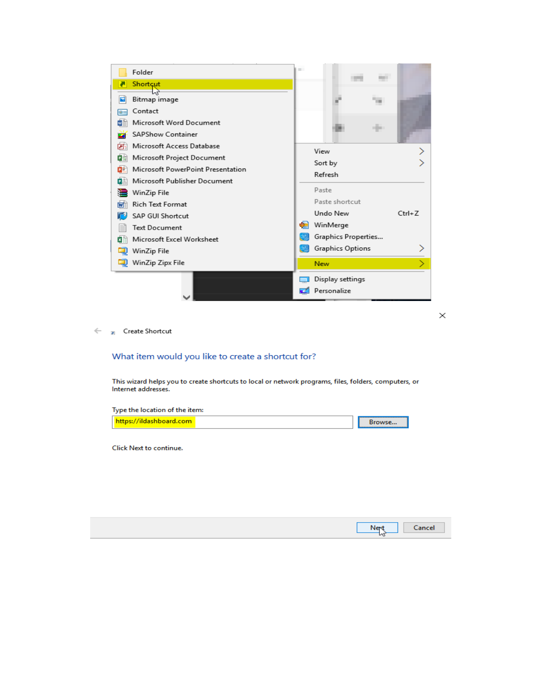

 $\times$ 

 $\Leftarrow$ **R** Create Shortcut

## What item would you like to create a shortcut for?

This wizard helps you to create shortcuts to local or network programs, files, folders, computers, or Internet addresses.

| Type the location of the item: |  |        |
|--------------------------------|--|--------|
| https://ildashboard.com        |  | Browse |

Click Next to continue.

|               | Nert Cancel |
|---------------|-------------|
| $\mathcal{L}$ |             |